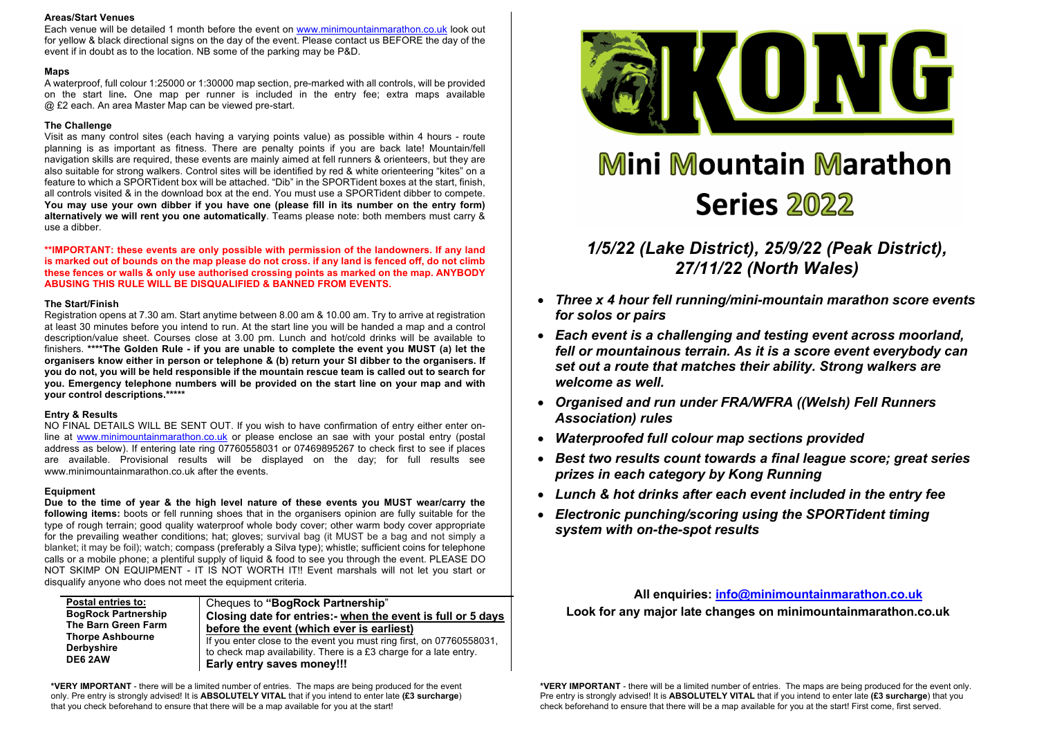#### **Areas/Start Venues**

Each venue will be detailed 1 month before the event on www.minimountainmarathon.co.uk look out for yellow & black directional signs on the day of the event. Please contact us BEFORE the day of the event if in doubt as to the location. NB some of the parking may be P&D.

#### **Maps**

A waterproof, full colour 1:25000 or 1:30000 map section, pre-marked with all controls, will be provided on the start line**.** One map per runner is included in the entry fee; extra maps available @ £2 each. An area Master Map can be viewed pre-start.

#### **The Challenge**

Visit as many control sites (each having a varying points value) as possible within 4 hours - route planning is as important as fitness. There are penalty points if you are back late! Mountain/fell navigation skills are required, these events are mainly aimed at fell runners & orienteers, but they are also suitable for strong walkers. Control sites will be identified by red & white orienteering "kites" on a feature to which a SPORTident box will be attached. "Dib" in the SPORTident boxes at the start, finish, all controls visited & in the download box at the end. You must use a SPORTident dibber to compete. **You may use your own dibber if you have one (please fill in its number on the entry form) alternatively we will rent you one automatically**. Teams please note: both members must carry & use a dibber.

**\*\*IMPORTANT: these events are only possible with permission of the landowners. If any land is marked out of bounds on the map please do not cross. if any land is fenced off, do not climb these fences or walls & only use authorised crossing points as marked on the map. ANYBODY ABUSING THIS RULE WILL BE DISQUALIFIED & BANNED FROM EVENTS.** 

### **The Start/Finish**

Registration opens at 7.30 am. Start anytime between 8.00 am & 10.00 am. Try to arrive at registration at least 30 minutes before you intend to run. At the start line you will be handed a map and a control description/value sheet. Courses close at 3.00 pm. Lunch and hot/cold drinks will be available to finishers. **\*\*\*\*The Golden Rule - if you are unable to complete the event you MUST (a) let the organisers know either in person or telephone & (b) return your SI dibber to the organisers. If you do not, you will be held responsible if the mountain rescue team is called out to search for you. Emergency telephone numbers will be provided on the start line on your map and with your control descriptions.\*\*\*\*\***

#### **Entry & Results**

NO FINAL DETAILS WILL BE SENT OUT. If you wish to have confirmation of entry either enter online at www.minimountainmarathon.co.uk or please enclose an sae with your postal entry (postal address as below). If entering late ring 07760558031 or 07469895267 to check first to see if places are available. Provisional results will be displayed on the day; for full results see www.minimountainmarathon.co.uk after the events.

#### **Equipment**

**Due to the time of year & the high level nature of these events you MUST wear/carry the following items:** boots or fell running shoes that in the organisers opinion are fully suitable for the type of rough terrain; good quality waterproof whole body cover; other warm body cover appropriate for the prevailing weather conditions; hat; gloves; survival bag (it MUST be a bag and not simply a blanket; it may be foil); watch; compass (preferably a Silva type); whistle; sufficient coins for telephone calls or a mobile phone; a plentiful supply of liquid & food to see you through the event. PLEASE DO NOT SKIMP ON EQUIPMENT - IT IS NOT WORTH IT!! Event marshals will not let you start or disqualify anyone who does not meet the equipment criteria.

| Postal entries to:<br><b>BogRock Partnership</b><br>The Barn Green Farm<br><b>Thorpe Ashbourne</b><br><b>Derbyshire</b><br>DE6 2AW | Cheques to "BogRock Partnership"<br>Closing date for entries:- when the event is full or 5 days<br>before the event (which ever is earliest)                            |  |  |  |
|------------------------------------------------------------------------------------------------------------------------------------|-------------------------------------------------------------------------------------------------------------------------------------------------------------------------|--|--|--|
|                                                                                                                                    | If you enter close to the event you must ring first, on 07760558031,<br>to check map availability. There is a £3 charge for a late entry.<br>Early entry saves money!!! |  |  |  |

**\*VERY IMPORTANT** - there will be a limited number of entries. The maps are being produced for the event only. Pre entry is strongly advised! It is **ABSOLUTELY VITAL** that if you intend to enter late **(£3 surcharge**) that you check beforehand to ensure that there will be a map available for you at the start!



# **Mini Mountain Marathon Series 2022**

*1/5/22 (Lake District), 25/9/22 (Peak District), 27/11/22 (North Wales)*

- *Three x 4 hour fell running/mini-mountain marathon score events for solos or pairs*
- *Each event is a challenging and testing event across moorland, fell or mountainous terrain. As it is a score event everybody can set out a route that matches their ability. Strong walkers are welcome as well.*
- *Organised and run under FRA/WFRA ((Welsh) Fell Runners Association) rules*
- *Waterproofed full colour map sections provided*
- *Best two results count towards a final league score; great series prizes in each category by Kong Running*
- *Lunch & hot drinks after each event included in the entry fee*
- *Electronic punching/scoring using the SPORTident timing system with on-the-spot results*

**All enquiries: info@minimountainmarathon.co.uk Look for any major late changes on minimountainmarathon.co.uk**

**\*VERY IMPORTANT** - there will be a limited number of entries. The maps are being produced for the event only. Pre entry is strongly advised! It is **ABSOLUTELY VITAL** that if you intend to enter late **(£3 surcharge**) that you check beforehand to ensure that there will be a map available for you at the start! First come, first served.